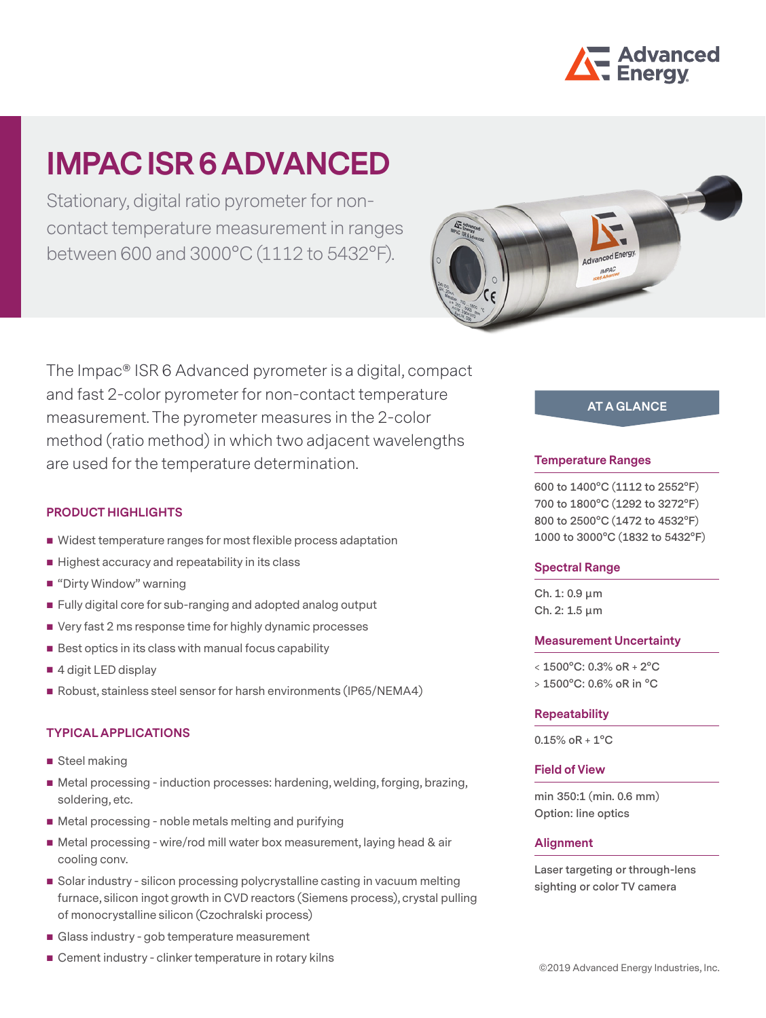

# **IMPACISR 6 ADVANCED**

Stationary, digital ratio pyrometer for noncontact temperature measurement in ranges between 600 and 3000°C (1112 to 5432°F).



The Impac® ISR 6 Advanced pyrometer is a digital, compact and fast 2-color pyrometer for non-contact temperature measurement. The pyrometer measures in the 2-color method (ratio method) in which two adjacent wavelengths are used for the temperature determination.

## **PRODUCT HIGHLIGHTS**

- Widest temperature ranges for most flexible process adaptation
- $\blacksquare$  Highest accuracy and repeatability in its class
- "Dirty Window" warning
- Fully digital core for sub-ranging and adopted analog output
- Very fast 2 ms response time for highly dynamic processes
- $\blacksquare$  Best optics in its class with manual focus capability
- 4 digit LED display
- Robust, stainless steel sensor for harsh environments (IP65/NEMA4)

## **TYPICAL APPLICATIONS**

- Steel making
- Metal processing induction processes: hardening, welding, forging, brazing, soldering, etc.
- Metal processing noble metals melting and purifying
- Metal processing wire/rod mill water box measurement, laying head & air cooling conv.
- Solar industry silicon processing polycrystalline casting in vacuum melting furnace, silicon ingot growth in CVD reactors (Siemens process), crystal pulling of monocrystalline silicon (Czochralski process)
- Glass industry gob temperature measurement
- Cement industry clinker temperature in rotary kilns

# **AT A GLANCE**

#### **Temperature Ranges**

**600 to 1400°C (1112 to 2552°F) 700 to 1800°C (1292 to 3272°F) 800 to 2500°C (1472 to 4532°F) 1000 to 3000°C (1832 to 5432°F)**

#### **Spectral Range**

**Ch. 1: 0.9 μm Ch. 2: 1.5 μm**

#### **Measurement Uncertainty**

**< 1500°C: 0.3% oR + 2°C > 1500°C: 0.6% oR in °C**

#### **Repeatability**

**0.15% oR + 1°C**

## **Field of View**

**min 350:1 (min. 0.6 mm) Option: line optics**

#### **Alignment**

**Laser targeting or through-lens sighting or color TV camera**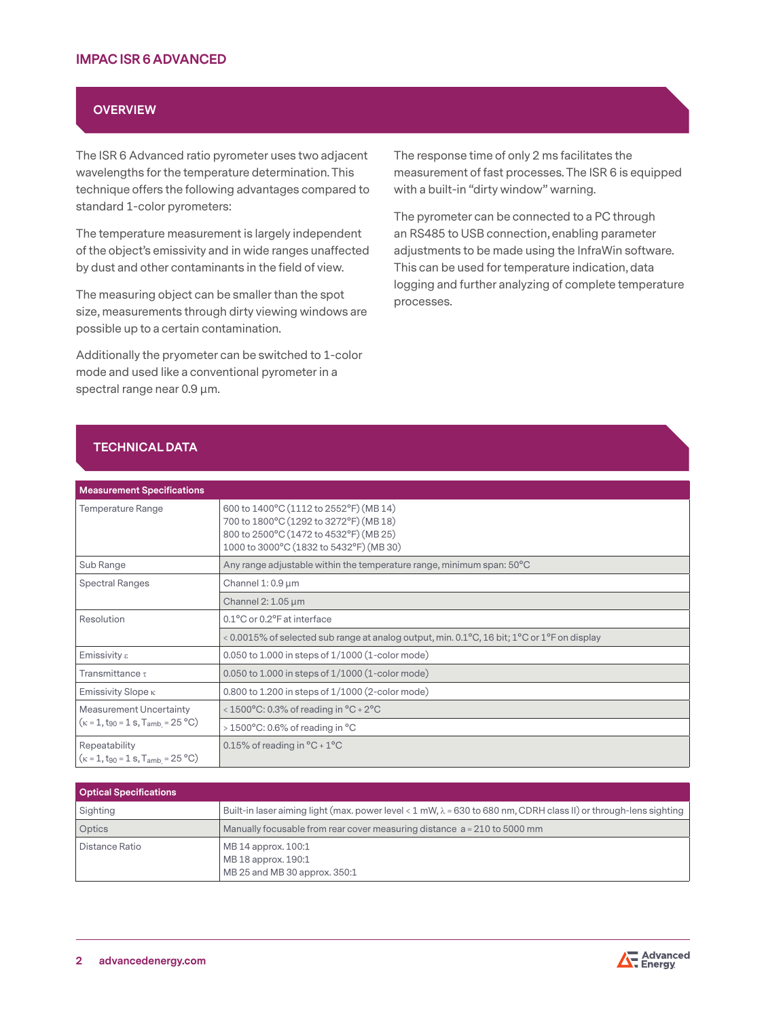## **OVERVIEW**

The ISR 6 Advanced ratio pyrometer uses two adjacent wavelengths for the temperature determination. This technique offers the following advantages compared to standard 1-color pyrometers:

The temperature measurement is largely independent of the object's emissivity and in wide ranges unaffected by dust and other contaminants in the field of view.

The measuring object can be smaller than the spot size, measurements through dirty viewing windows are possible up to a certain contamination.

Additionally the pryometer can be switched to 1-color mode and used like a conventional pyrometer in a spectral range near 0.9 µm.

The response time of only 2 ms facilitates the measurement of fast processes. The ISR 6 is equipped with a built-in "dirty window" warning.

The pyrometer can be connected to a PC through an RS485 to USB connection, enabling parameter adjustments to be made using the InfraWin software. This can be used for temperature indication, data logging and further analyzing of complete temperature processes.

## **TECHNICAL DATA**

| <b>Measurement Specifications</b>                                                               |                                                                                                                                                                       |  |
|-------------------------------------------------------------------------------------------------|-----------------------------------------------------------------------------------------------------------------------------------------------------------------------|--|
| Temperature Range                                                                               | 600 to 1400°C (1112 to 2552°F) (MB 14)<br>700 to 1800°C (1292 to 3272°F) (MB 18)<br>800 to 2500°C (1472 to 4532°F) (MB 25)<br>1000 to 3000°C (1832 to 5432°F) (MB 30) |  |
| Sub Range                                                                                       | Any range adjustable within the temperature range, minimum span: 50°C                                                                                                 |  |
| <b>Spectral Ranges</b>                                                                          | Channel $1:0.9 \mu m$                                                                                                                                                 |  |
|                                                                                                 | Channel 2: $1.05 \mu m$                                                                                                                                               |  |
| Resolution                                                                                      | 0.1°C or 0.2°F at interface                                                                                                                                           |  |
|                                                                                                 | < 0.0015% of selected sub range at analog output, min. 0.1 °C, 16 bit; $1^{\circ}$ C or $1^{\circ}$ F on display                                                      |  |
| Emissivity ε                                                                                    | $0.050$ to 1.000 in steps of $1/1000$ (1-color mode)                                                                                                                  |  |
| Transmittance $\tau$                                                                            | $0.050$ to 1.000 in steps of $1/1000$ (1-color mode)                                                                                                                  |  |
| Emissivity Slope $\kappa$                                                                       | 0.800 to 1.200 in steps of 1/1000 (2-color mode)                                                                                                                      |  |
| <b>Measurement Uncertainty</b><br>$(\kappa = 1, t_{90} = 1 \text{ s}, T_{amb} = 25 \text{ °C})$ | < $1500^{\circ}$ C: 0.3% of reading in $^{\circ}$ C + 2 $^{\circ}$ C                                                                                                  |  |
|                                                                                                 | $>1500^{\circ}$ C: 0.6% of reading in $^{\circ}$ C                                                                                                                    |  |
| Repeatability<br>$(\kappa = 1, t_{90} = 1 s, T_{amb} = 25 °C)$                                  | 0.15% of reading in $^{\circ}$ C + 1 $^{\circ}$ C                                                                                                                     |  |

| <b>Optical Specifications</b> |                                                                                                                          |
|-------------------------------|--------------------------------------------------------------------------------------------------------------------------|
| Sighting                      | Built-in laser aiming light (max. power level < 1 mW, $\lambda$ = 630 to 680 nm, CDRH class II) or through-lens sighting |
| Optics                        | Manually focusable from rear cover measuring distance $a = 210$ to 5000 mm                                               |
| Distance Ratio                | MB 14 approx. 100:1<br>MB 18 approx. 190:1<br>MB 25 and MB 30 approx. 350:1                                              |

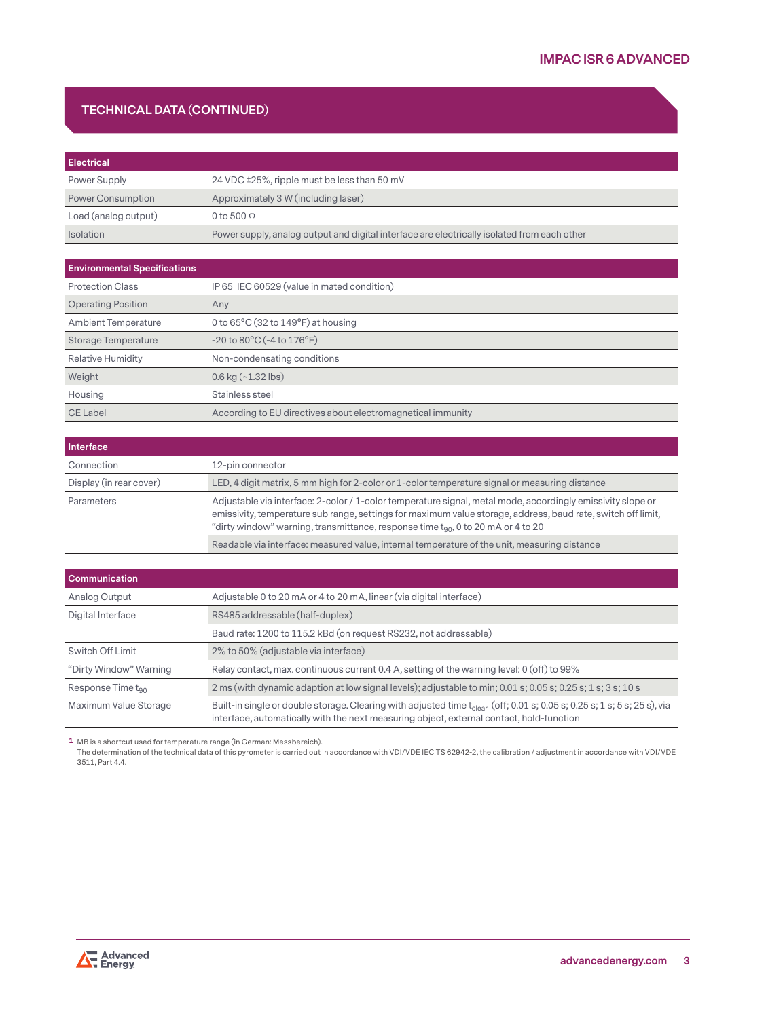## **TECHNICAL DATA (CONTINUED)**

| <b>Electrical</b>    |                                                                                             |
|----------------------|---------------------------------------------------------------------------------------------|
| Power Supply         | 24 VDC ±25%, ripple must be less than 50 mV                                                 |
| Power Consumption    | Approximately 3 W (including laser)                                                         |
| Load (analog output) | 0 to 500 $\Omega$                                                                           |
| Isolation            | Power supply, analog output and digital interface are electrically isolated from each other |

| <b>Environmental Specifications</b> |                                                             |  |
|-------------------------------------|-------------------------------------------------------------|--|
| <b>Protection Class</b>             | IP 65 IEC 60529 (value in mated condition)                  |  |
| <b>Operating Position</b>           | Any                                                         |  |
| <b>Ambient Temperature</b>          | 0 to $65^{\circ}$ C (32 to $149^{\circ}$ F) at housing      |  |
| Storage Temperature                 | $-20$ to $80^{\circ}$ C ( $-4$ to $176^{\circ}$ F)          |  |
| <b>Relative Humidity</b>            | Non-condensating conditions                                 |  |
| Weight                              | $0.6$ kg $(-1.32$ lbs)                                      |  |
| Housing                             | Stainless steel                                             |  |
| CE Label                            | According to EU directives about electromagnetical immunity |  |

| Interface               |                                                                                                                                                                                                                                                                                                                      |  |
|-------------------------|----------------------------------------------------------------------------------------------------------------------------------------------------------------------------------------------------------------------------------------------------------------------------------------------------------------------|--|
| Connection              | 12-pin connector                                                                                                                                                                                                                                                                                                     |  |
| Display (in rear cover) | LED, 4 digit matrix, 5 mm high for 2-color or 1-color temperature signal or measuring distance                                                                                                                                                                                                                       |  |
| Parameters              | Adjustable via interface: 2-color / 1-color temperature signal, metal mode, accordingly emissivity slope or<br>emissivity, temperature sub range, settings for maximum value storage, address, baud rate, switch off limit,<br>"dirty window" warning, transmittance, response time $t_{90}$ , 0 to 20 mA or 4 to 20 |  |
|                         | Readable via interface: measured value, internal temperature of the unit, measuring distance                                                                                                                                                                                                                         |  |

| <b>Communication</b>          |                                                                                                                                                                                                                           |  |
|-------------------------------|---------------------------------------------------------------------------------------------------------------------------------------------------------------------------------------------------------------------------|--|
| Analog Output                 | Adjustable 0 to 20 mA or 4 to 20 mA, linear (via digital interface)                                                                                                                                                       |  |
| Digital Interface             | RS485 addressable (half-duplex)                                                                                                                                                                                           |  |
|                               | Baud rate: 1200 to 115.2 kBd (on request RS232, not addressable)                                                                                                                                                          |  |
| Switch Off Limit              | 2% to 50% (adjustable via interface)                                                                                                                                                                                      |  |
| "Dirty Window" Warning        | Relay contact, max. continuous current 0.4 A, setting of the warning level: 0 (off) to 99%                                                                                                                                |  |
| Response Time t <sub>90</sub> | 2 ms (with dynamic adaption at low signal levels); adjustable to min; 0.01 s; 0.05 s; 0.25 s; 1 s; 3 s; 10 s                                                                                                              |  |
| Maximum Value Storage         | Built-in single or double storage. Clearing with adjusted time $t_{clear}$ (off; 0.01 s; 0.05 s; 0.25 s; 1 s; 5 s; 25 s), via<br>interface, automatically with the next measuring object, external contact, hold-function |  |

**1** MB is a shortcut used for temperature range (in German: Messbereich).

The determination of the technical data of this pyrometer is carried out in accordance with VDI/VDE IEC TS 62942-2, the calibration / adjustment in accordance with VDI/VDE 3511, Part 4.4.

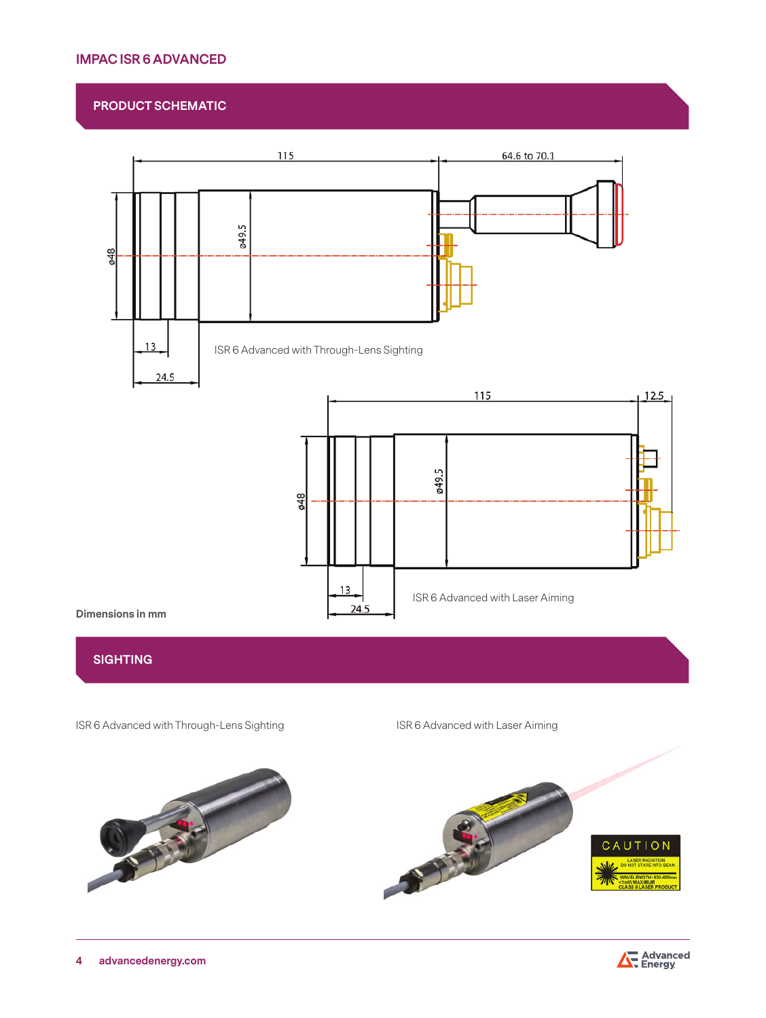## **IMPAC ISR 6 ADVANCED**

## **PRODUCT SCHEMATIC**



## **SIGHTING**

ISR 6 Advanced with Through-Lens Sighting ISR 6 Advanced with Laser Aiming



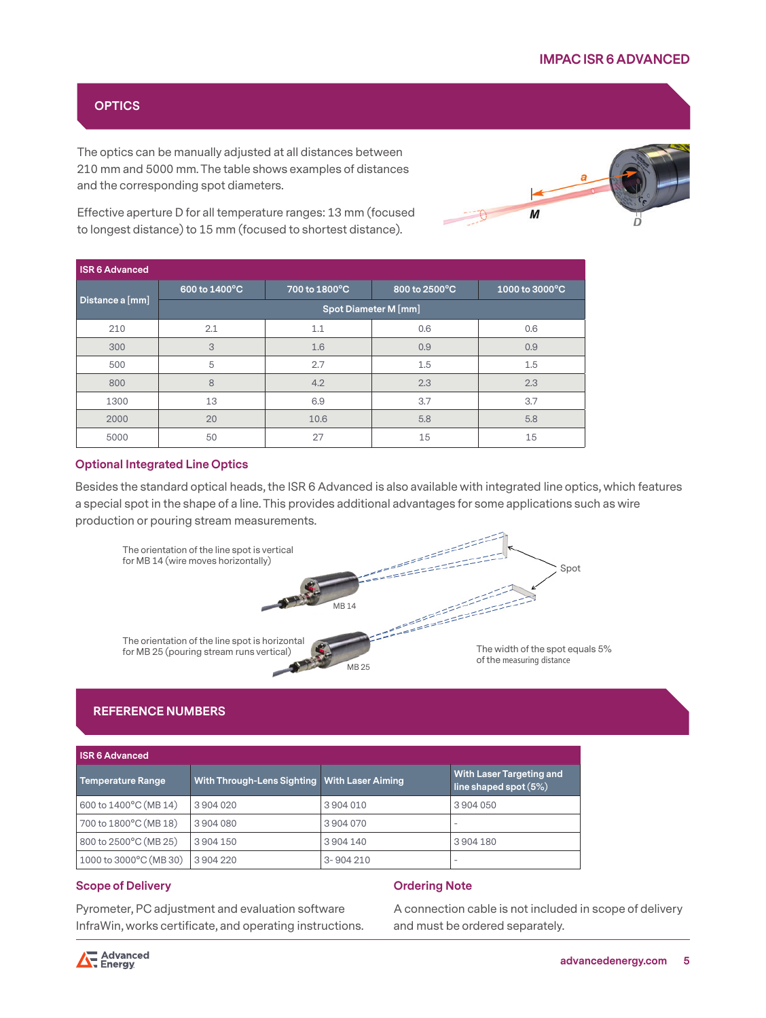## **OPTICS**

The optics can be manually adjusted at all distances between 210 mm and 5000 mm. The table shows examples of distances and the corresponding spot diameters.



Effective aperture D for all temperature ranges: 13 mm (focused to longest distance) to 15 mm (focused to shortest distance).

| <b>ISR6 Advanced</b> |                      |               |               |                |
|----------------------|----------------------|---------------|---------------|----------------|
|                      | 600 to 1400°C        | 700 to 1800°C | 800 to 2500°C | 1000 to 3000°C |
| Distance a [mm]      | Spot Diameter M [mm] |               |               |                |
| 210                  | 2.1                  | 1.1           | 0.6           | 0.6            |
| 300                  | 3                    | 1.6           | 0.9           | 0.9            |
| 500                  | 5                    | 2.7           | 1.5           | 1.5            |
| 800                  | 8                    | 4.2           | 2.3           | 2.3            |
| 1300                 | 13                   | 6.9           | 3.7           | 3.7            |
| 2000                 | 20                   | 10.6          | 5.8           | 5.8            |
| 5000                 | 50                   | 27            | 15            | 15             |

## **Optional Integrated Line Optics**

Besides the standard optical heads, the ISR 6 Advanced is also available with integrated line optics, which features a special spot in the shape of a line. This provides additional advantages for some applications such as wire production or pouring stream measurements.



## **REFERENCE NUMBERS**

| ISR 6 Advanced         |                                                |          |                                                     |  |
|------------------------|------------------------------------------------|----------|-----------------------------------------------------|--|
| Temperature Range      | With Through-Lens Sighting   With Laser Aiming |          | With Laser Targeting and<br>line shaped spot $(5%)$ |  |
| 600 to 1400°C (MB 14)  | 3904020                                        | 3904010  | 3904050                                             |  |
| 700 to 1800°C (MB 18)  | 3904080                                        | 3904070  | $\sim$                                              |  |
| 800 to 2500°C (MB 25)  | 3904150                                        | 3904140  | 3904180                                             |  |
| 1000 to 3000°C (MB 30) | 3904220                                        | 3-904210 | $\sim$                                              |  |

#### **Scope of Delivery**

Pyrometer, PC adjustment and evaluation software InfraWin, works certificate, and operating instructions.

#### **Ordering Note**

A connection cable is not included in scope of delivery and must be ordered separately.

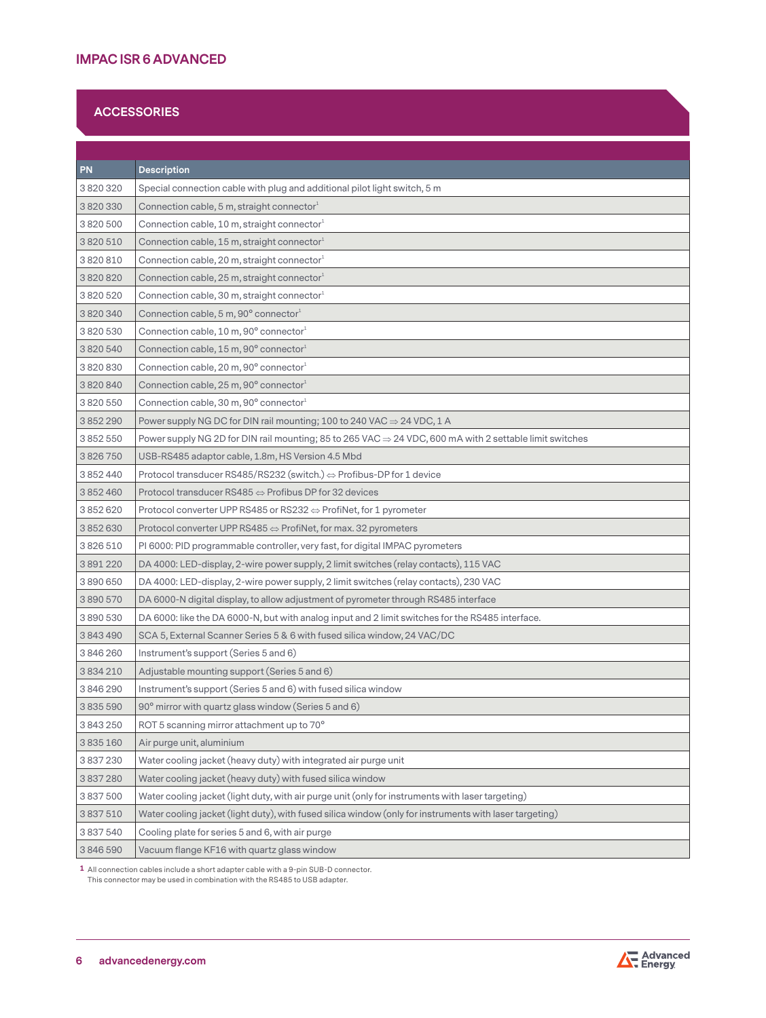## **ACCESSORIES**

| <b>PN</b> | <b>Description</b>                                                                                                  |
|-----------|---------------------------------------------------------------------------------------------------------------------|
| 3820320   | Special connection cable with plug and additional pilot light switch, 5 m                                           |
| 3820330   | Connection cable, 5 m, straight connector $^1$                                                                      |
| 3820500   | Connection cable, 10 m, straight connector <sup>1</sup>                                                             |
| 3820510   | Connection cable, 15 m, straight connector $^1$                                                                     |
| 3820810   | Connection cable, 20 m, straight connector <sup>1</sup>                                                             |
| 3820820   | Connection cable, 25 m, straight connector <sup>1</sup>                                                             |
| 3820520   | Connection cable, 30 m, straight connector <sup>1</sup>                                                             |
| 3820340   | Connection cable, 5 m, 90° connector1                                                                               |
| 3820530   | Connection cable, 10 m, 90° connector1                                                                              |
| 3820540   | Connection cable, 15 m, 90° connector <sup>1</sup>                                                                  |
| 3820830   | Connection cable, 20 m, 90° connector <sup>1</sup>                                                                  |
| 3820840   | Connection cable, 25 m, 90° connector1                                                                              |
| 3820550   | Connection cable, 30 m, 90° connector1                                                                              |
| 3852290   | Power supply NG DC for DIN rail mounting; 100 to 240 VAC $\Rightarrow$ 24 VDC, 1 A                                  |
| 3852550   | Power supply NG 2D for DIN rail mounting; 85 to 265 VAC $\Rightarrow$ 24 VDC, 600 mA with 2 settable limit switches |
| 3826750   | USB-RS485 adaptor cable, 1.8m, HS Version 4.5 Mbd                                                                   |
| 3 852 440 | Protocol transducer RS485/RS232 (switch.) $\Leftrightarrow$ Profibus-DP for 1 device                                |
| 3852460   | Protocol transducer RS485 $\Leftrightarrow$ Profibus DP for 32 devices                                              |
| 3852620   | Protocol converter UPP RS485 or RS232 $\Leftrightarrow$ ProfiNet, for 1 pyrometer                                   |
| 3852630   | Protocol converter UPP RS485 $\Leftrightarrow$ ProfiNet, for max. 32 pyrometers                                     |
| 3826510   | PI 6000: PID programmable controller, very fast, for digital IMPAC pyrometers                                       |
| 3891220   | DA 4000: LED-display, 2-wire power supply, 2 limit switches (relay contacts), 115 VAC                               |
| 3890650   | DA 4000: LED-display, 2-wire power supply, 2 limit switches (relay contacts), 230 VAC                               |
| 3890570   | DA 6000-N digital display, to allow adjustment of pyrometer through RS485 interface                                 |
| 3890530   | DA 6000: like the DA 6000-N, but with analog input and 2 limit switches for the RS485 interface.                    |
| 3843490   | SCA 5, External Scanner Series 5 & 6 with fused silica window, 24 VAC/DC                                            |
| 3846260   | Instrument's support (Series 5 and 6)                                                                               |
| 3834210   | Adjustable mounting support (Series 5 and 6)                                                                        |
| 3846290   | Instrument's support (Series 5 and 6) with fused silica window                                                      |
| 3835590   | 90° mirror with quartz glass window (Series 5 and 6)                                                                |
| 3 843 250 | ROT 5 scanning mirror attachment up to 70°                                                                          |
| 3835160   | Air purge unit, aluminium                                                                                           |
| 3 837 230 | Water cooling jacket (heavy duty) with integrated air purge unit                                                    |
| 3837280   | Water cooling jacket (heavy duty) with fused silica window                                                          |
| 3 837 500 | Water cooling jacket (light duty, with air purge unit (only for instruments with laser targeting)                   |
| 3 837 510 | Water cooling jacket (light duty), with fused silica window (only for instruments with laser targeting)             |
| 3837540   | Cooling plate for series 5 and 6, with air purge                                                                    |
| 3846590   | Vacuum flange KF16 with quartz glass window                                                                         |

**1** All connection cables include a short adapter cable with a 9-pin SUB-D connector. This connector may be used in combination with the RS485 to USB adapter.

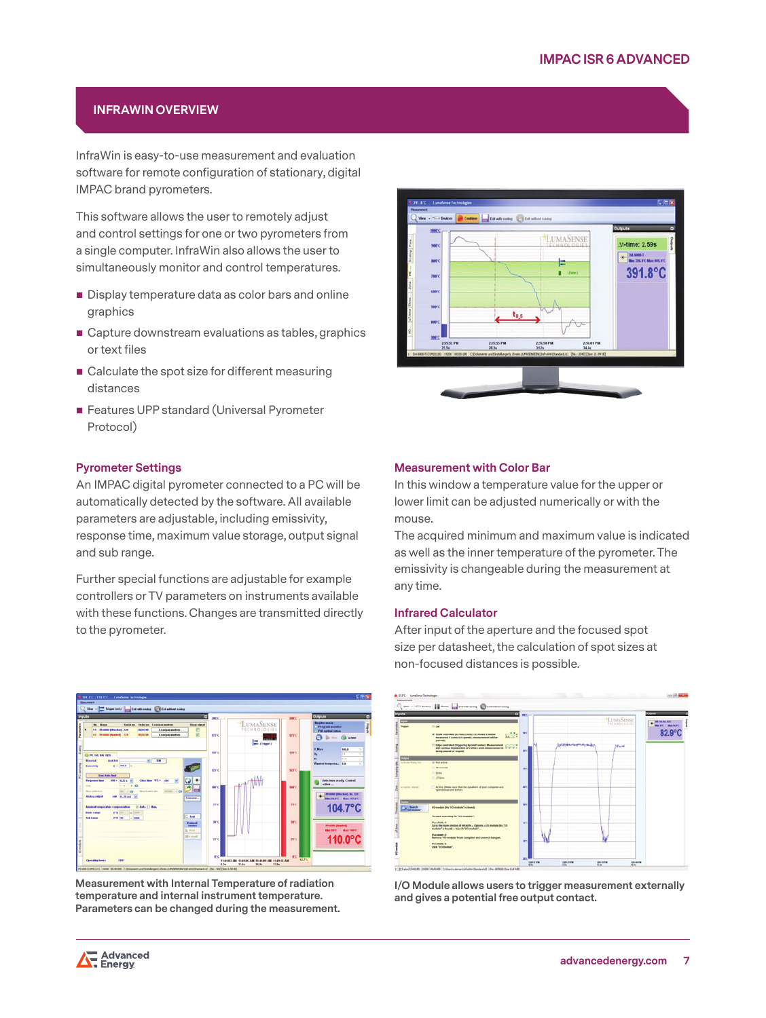## **INFRAWIN OVERVIEW**

InfraWin is easy-to-use measurement and evaluation software for remote configuration of stationary, digital IMPAC brand pyrometers.

This software allows the user to remotely adjust and control settings for one or two pyrometers from a single computer. InfraWin also allows the user to simultaneously monitor and control temperatures.

- Display temperature data as color bars and online graphics
- Capture downstream evaluations as tables, graphics or text files
- Calculate the spot size for different measuring distances
- **Features UPP standard (Universal Pyrometer** Protocol)

## **Pyrometer Settings**

An IMPAC digital pyrometer connected to a PC will be automatically detected by the software. All available parameters are adjustable, including emissivity, response time, maximum value storage, output signal and sub range.

Further special functions are adjustable for example controllers or TV parameters on instruments available with these functions. Changes are transmitted directly to the pyrometer.



**Measurement with Internal Temperature of radiation temperature and internal instrument temperature. Parameters can be changed during the measurement.**



#### **Measurement with Color Bar**

In this window a temperature value for the upper or lower limit can be adjusted numerically or with the mouse.

The acquired minimum and maximum value is indicated as well as the inner temperature of the pyrometer. The emissivity is changeable during the measurement at any time.

#### **Infrared Calculator**

After input of the aperture and the focused spot size per datasheet, the calculation of spot sizes at non-focused distances is possible.



**I/O Module allows users to trigger measurement externally and gives a potential free output contact.**